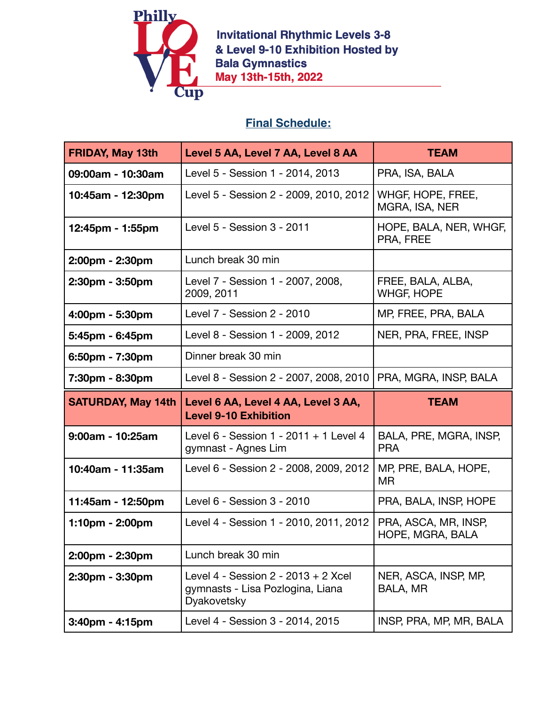

**Invitational Rhythmic Levels 3-8** & Level 9-10 Exhibition Hosted by Bala Gymnastics<br>May 13th-15th, 2022

## **Final Schedule:**

| <b>FRIDAY, May 13th</b>   | Level 5 AA, Level 7 AA, Level 8 AA                                                       | <b>TEAM</b>                              |
|---------------------------|------------------------------------------------------------------------------------------|------------------------------------------|
| 09:00am - 10:30am         | Level 5 - Session 1 - 2014, 2013                                                         | PRA, ISA, BALA                           |
| 10:45am - 12:30pm         | Level 5 - Session 2 - 2009, 2010, 2012                                                   | WHGF, HOPE, FREE,<br>MGRA, ISA, NER      |
| 12:45pm - 1:55pm          | Level 5 - Session 3 - 2011                                                               | HOPE, BALA, NER, WHGF,<br>PRA, FREE      |
| 2:00pm - 2:30pm           | Lunch break 30 min                                                                       |                                          |
| 2:30pm - 3:50pm           | Level 7 - Session 1 - 2007, 2008,<br>2009, 2011                                          | FREE, BALA, ALBA,<br><b>WHGF, HOPE</b>   |
| 4:00pm - 5:30pm           | Level 7 - Session 2 - 2010                                                               | MP, FREE, PRA, BALA                      |
| 5:45pm - 6:45pm           | Level 8 - Session 1 - 2009, 2012                                                         | NER, PRA, FREE, INSP                     |
| 6:50pm - 7:30pm           | Dinner break 30 min                                                                      |                                          |
| 7:30pm - 8:30pm           | Level 8 - Session 2 - 2007, 2008, 2010                                                   | PRA, MGRA, INSP, BALA                    |
|                           |                                                                                          |                                          |
| <b>SATURDAY, May 14th</b> | Level 6 AA, Level 4 AA, Level 3 AA,<br><b>Level 9-10 Exhibition</b>                      | <b>TEAM</b>                              |
| 9:00am - 10:25am          | Level $6 -$ Session 1 - 2011 + 1 Level 4<br>gymnast - Agnes Lim                          | BALA, PRE, MGRA, INSP,<br><b>PRA</b>     |
| 10:40am - 11:35am         | Level 6 - Session 2 - 2008, 2009, 2012                                                   | MP, PRE, BALA, HOPE,<br>MR               |
| 11:45am - 12:50pm         | Level 6 - Session 3 - 2010                                                               | PRA, BALA, INSP, HOPE                    |
| $1:10$ pm - 2:00pm        | Level 4 - Session 1 - 2010, 2011, 2012                                                   | PRA, ASCA, MR, INSP,<br>HOPE, MGRA, BALA |
| 2:00pm - 2:30pm           | Lunch break 30 min                                                                       |                                          |
| 2:30pm - 3:30pm           | Level 4 - Session $2 - 2013 + 2$ Xcel<br>gymnasts - Lisa Pozlogina, Liana<br>Dyakovetsky | NER, ASCA, INSP, MP,<br>BALA, MR         |